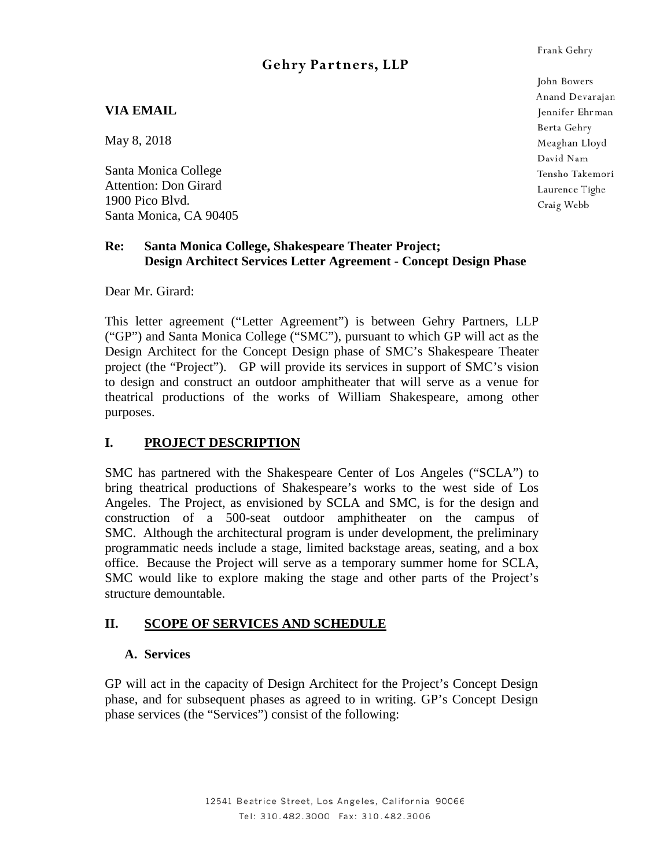# **Gehry Partners, LLP**

# **VIA EMAIL**

May 8, 2018

Santa Monica College Attention: Don Girard 1900 Pico Blvd. Santa Monica, CA 90405

# **Re: Santa Monica College, Shakespeare Theater Project; Design Architect Services Letter Agreement - Concept Design Phase**

Dear Mr. Girard:

This letter agreement ("Letter Agreement") is between Gehry Partners, LLP ("GP") and Santa Monica College ("SMC"), pursuant to which GP will act as the Design Architect for the Concept Design phase of SMC's Shakespeare Theater project (the "Project"). GP will provide its services in support of SMC's vision to design and construct an outdoor amphitheater that will serve as a venue for theatrical productions of the works of William Shakespeare, among other purposes.

# **I. PROJECT DESCRIPTION**

SMC has partnered with the Shakespeare Center of Los Angeles ("SCLA") to bring theatrical productions of Shakespeare's works to the west side of Los Angeles. The Project, as envisioned by SCLA and SMC, is for the design and construction of a 500-seat outdoor amphitheater on the campus of SMC. Although the architectural program is under development, the preliminary programmatic needs include a stage, limited backstage areas, seating, and a box office. Because the Project will serve as a temporary summer home for SCLA, SMC would like to explore making the stage and other parts of the Project's structure demountable.

# **II. SCOPE OF SERVICES AND SCHEDULE**

# **A. Services**

GP will act in the capacity of Design Architect for the Project's Concept Design phase, and for subsequent phases as agreed to in writing. GP's Concept Design phase services (the "Services") consist of the following:

John Bowers Anand Devarajan Jennifer Ehrman Berta Gehry Meaghan Lloyd David Nam Tensho Takemori Laurence Tighe Craig Webb

Frank Gehry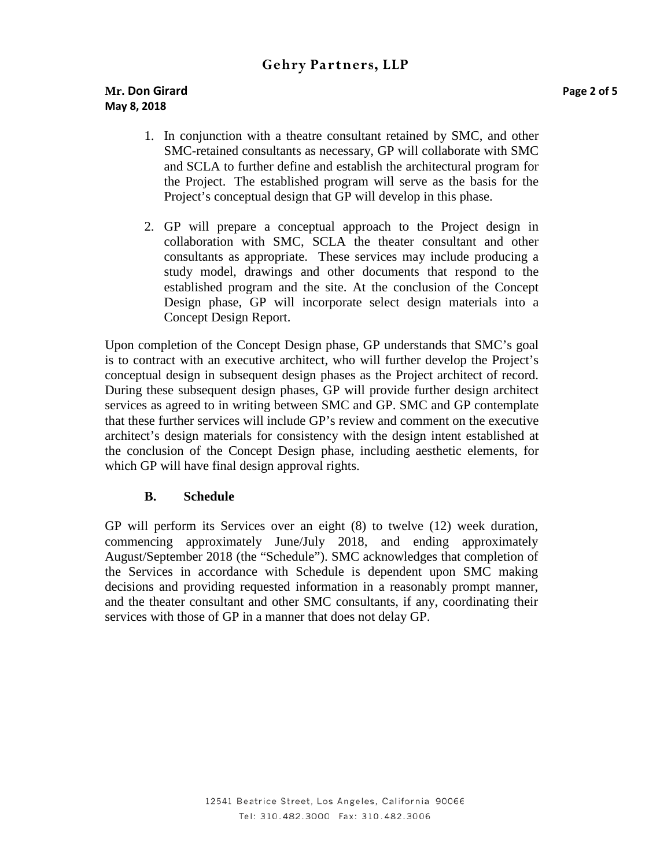# **Gehry Partners, LLP**

- 1. In conjunction with a theatre consultant retained by SMC, and other SMC-retained consultants as necessary, GP will collaborate with SMC and SCLA to further define and establish the architectural program for the Project. The established program will serve as the basis for the Project's conceptual design that GP will develop in this phase.
- 2. GP will prepare a conceptual approach to the Project design in collaboration with SMC, SCLA the theater consultant and other consultants as appropriate. These services may include producing a study model, drawings and other documents that respond to the established program and the site. At the conclusion of the Concept Design phase, GP will incorporate select design materials into a Concept Design Report.

Upon completion of the Concept Design phase, GP understands that SMC's goal is to contract with an executive architect, who will further develop the Project's conceptual design in subsequent design phases as the Project architect of record. During these subsequent design phases, GP will provide further design architect services as agreed to in writing between SMC and GP. SMC and GP contemplate that these further services will include GP's review and comment on the executive architect's design materials for consistency with the design intent established at the conclusion of the Concept Design phase, including aesthetic elements, for which GP will have final design approval rights.

# **B. Schedule**

GP will perform its Services over an eight (8) to twelve (12) week duration, commencing approximately June/July 2018, and ending approximately August/September 2018 (the "Schedule"). SMC acknowledges that completion of the Services in accordance with Schedule is dependent upon SMC making decisions and providing requested information in a reasonably prompt manner, and the theater consultant and other SMC consultants, if any, coordinating their services with those of GP in a manner that does not delay GP.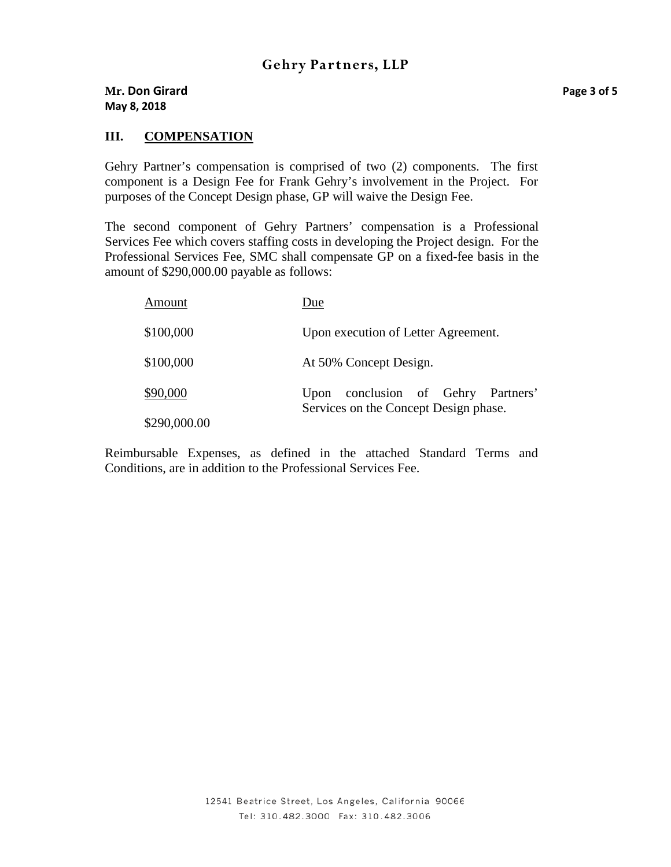# **III. COMPENSATION**

Gehry Partner's compensation is comprised of two (2) components. The first component is a Design Fee for Frank Gehry's involvement in the Project. For purposes of the Concept Design phase, GP will waive the Design Fee.

The second component of Gehry Partners' compensation is a Professional Services Fee which covers staffing costs in developing the Project design. For the Professional Services Fee, SMC shall compensate GP on a fixed-fee basis in the amount of \$290,000.00 payable as follows:

| <b>Amount</b> | Due                                                                            |
|---------------|--------------------------------------------------------------------------------|
| \$100,000     | Upon execution of Letter Agreement.                                            |
| \$100,000     | At 50% Concept Design.                                                         |
| \$90,000      | conclusion of Gehry Partners'<br>Upon<br>Services on the Concept Design phase. |
| \$290,000.00  |                                                                                |

Reimbursable Expenses, as defined in the attached Standard Terms and Conditions, are in addition to the Professional Services Fee.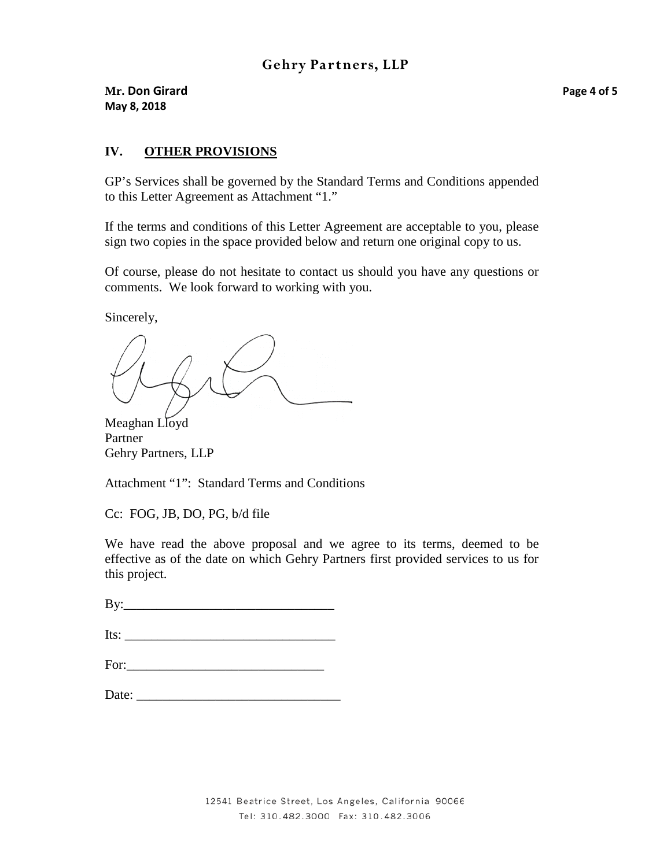**Mr. Don Girard Page 4 of 5 May 8, 2018**

# **IV. OTHER PROVISIONS**

GP's Services shall be governed by the Standard Terms and Conditions appended to this Letter Agreement as Attachment "1."

If the terms and conditions of this Letter Agreement are acceptable to you, please sign two copies in the space provided below and return one original copy to us.

Of course, please do not hesitate to contact us should you have any questions or comments. We look forward to working with you.

Sincerely,

Meaghan Lloyd Partner Gehry Partners, LLP

Attachment "1": Standard Terms and Conditions

Cc: FOG, JB, DO, PG, b/d file

We have read the above proposal and we agree to its terms, deemed to be effective as of the date on which Gehry Partners first provided services to us for this project.

 $\mathbf{B} \mathbf{v}$ :

Its:

| For:<br>$\sim$ $\sim$ |  |
|-----------------------|--|
|                       |  |

| Date: |
|-------|
|       |

Tel: 310.482.3000 Fax: 310.482.3006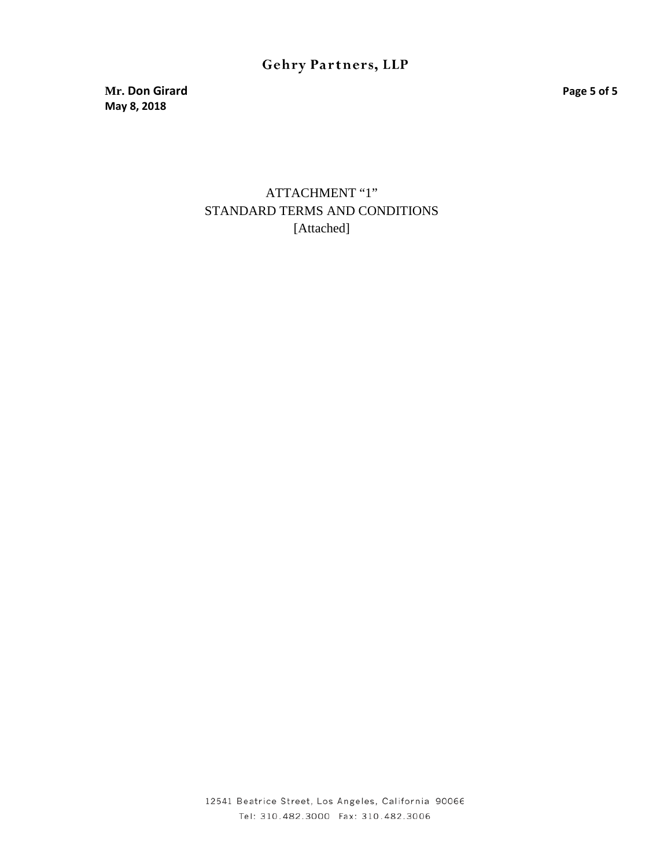# Gehry Partners, LLP

**Mr. Don Girard Page 5 of 5 May 8, 2018**

> ATTACHMENT "1" STANDARD TERMS AND CONDITIONS [Attached]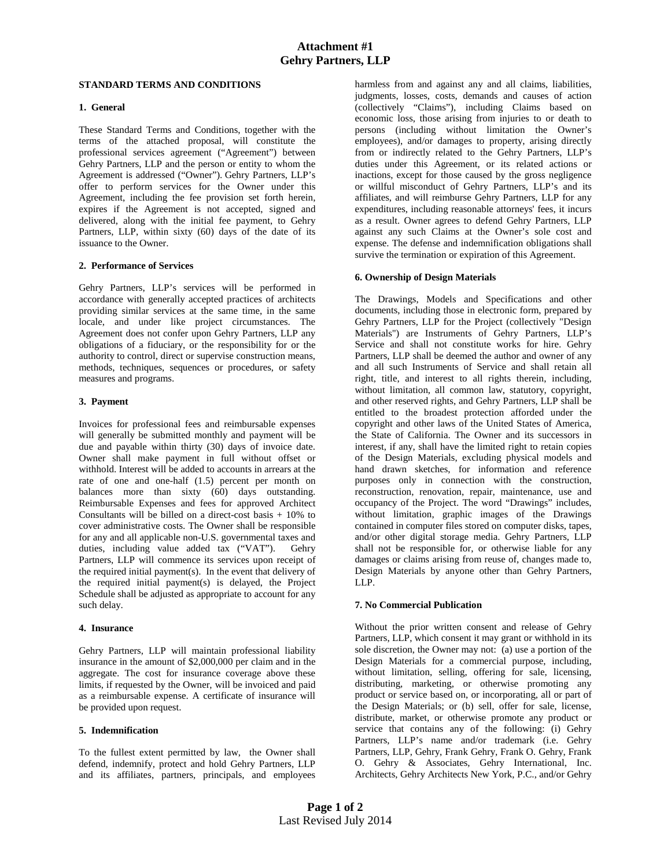#### **STANDARD TERMS AND CONDITIONS**

### **1. General**

These Standard Terms and Conditions, together with the terms of the attached proposal, will constitute the professional services agreement ("Agreement") between Gehry Partners, LLP and the person or entity to whom the Agreement is addressed ("Owner"). Gehry Partners, LLP's offer to perform services for the Owner under this Agreement, including the fee provision set forth herein, expires if the Agreement is not accepted, signed and delivered, along with the initial fee payment, to Gehry Partners, LLP, within sixty (60) days of the date of its issuance to the Owner.

#### **2. Performance of Services**

Gehry Partners, LLP's services will be performed in accordance with generally accepted practices of architects providing similar services at the same time, in the same locale, and under like project circumstances. The Agreement does not confer upon Gehry Partners, LLP any obligations of a fiduciary, or the responsibility for or the authority to control, direct or supervise construction means, methods, techniques, sequences or procedures, or safety measures and programs.

#### **3. Payment**

Invoices for professional fees and reimbursable expenses will generally be submitted monthly and payment will be due and payable within thirty (30) days of invoice date. Owner shall make payment in full without offset or withhold. Interest will be added to accounts in arrears at the rate of one and one-half (1.5) percent per month on balances more than sixty (60) days outstanding. Reimbursable Expenses and fees for approved Architect Consultants will be billed on a direct-cost basis + 10% to cover administrative costs. The Owner shall be responsible for any and all applicable non-U.S. governmental taxes and duties, including value added tax ("VAT"). Gehry Partners, LLP will commence its services upon receipt of the required initial payment(s). In the event that delivery of the required initial payment(s) is delayed, the Project Schedule shall be adjusted as appropriate to account for any such delay.

#### **4. Insurance**

Gehry Partners, LLP will maintain professional liability insurance in the amount of \$2,000,000 per claim and in the aggregate. The cost for insurance coverage above these limits, if requested by the Owner, will be invoiced and paid as a reimbursable expense. A certificate of insurance will be provided upon request.

#### **5. Indemnification**

To the fullest extent permitted by law, the Owner shall defend, indemnify, protect and hold Gehry Partners, LLP and its affiliates, partners, principals, and employees harmless from and against any and all claims, liabilities, judgments, losses, costs, demands and causes of action (collectively "Claims"), including Claims based on economic loss, those arising from injuries to or death to persons (including without limitation the Owner's employees), and/or damages to property, arising directly from or indirectly related to the Gehry Partners, LLP's duties under this Agreement, or its related actions or inactions, except for those caused by the gross negligence or willful misconduct of Gehry Partners, LLP's and its affiliates, and will reimburse Gehry Partners, LLP for any expenditures, including reasonable attorneys' fees, it incurs as a result. Owner agrees to defend Gehry Partners, LLP against any such Claims at the Owner's sole cost and expense. The defense and indemnification obligations shall survive the termination or expiration of this Agreement.

#### **6. Ownership of Design Materials**

The Drawings, Models and Specifications and other documents, including those in electronic form, prepared by Gehry Partners, LLP for the Project (collectively "Design Materials") are Instruments of Gehry Partners, LLP's Service and shall not constitute works for hire. Gehry Partners, LLP shall be deemed the author and owner of any and all such Instruments of Service and shall retain all right, title, and interest to all rights therein, including, without limitation, all common law, statutory, copyright, and other reserved rights, and Gehry Partners, LLP shall be entitled to the broadest protection afforded under the copyright and other laws of the United States of America, the State of California. The Owner and its successors in interest, if any, shall have the limited right to retain copies of the Design Materials, excluding physical models and hand drawn sketches, for information and reference purposes only in connection with the construction, reconstruction, renovation, repair, maintenance, use and occupancy of the Project. The word "Drawings" includes, without limitation, graphic images of the Drawings contained in computer files stored on computer disks, tapes, and/or other digital storage media. Gehry Partners, LLP shall not be responsible for, or otherwise liable for any damages or claims arising from reuse of, changes made to, Design Materials by anyone other than Gehry Partners, LLP.

#### **7. No Commercial Publication**

Without the prior written consent and release of Gehry Partners, LLP, which consent it may grant or withhold in its sole discretion, the Owner may not: (a) use a portion of the Design Materials for a commercial purpose, including, without limitation, selling, offering for sale, licensing, distributing, marketing, or otherwise promoting any product or service based on, or incorporating, all or part of the Design Materials; or (b) sell, offer for sale, license, distribute, market, or otherwise promote any product or service that contains any of the following: (i) Gehry Partners, LLP's name and/or trademark (i.e. Gehry Partners, LLP, Gehry, Frank Gehry, Frank O. Gehry, Frank O. Gehry & Associates, Gehry International, Inc. Architects, Gehry Architects New York, P.C., and/or Gehry